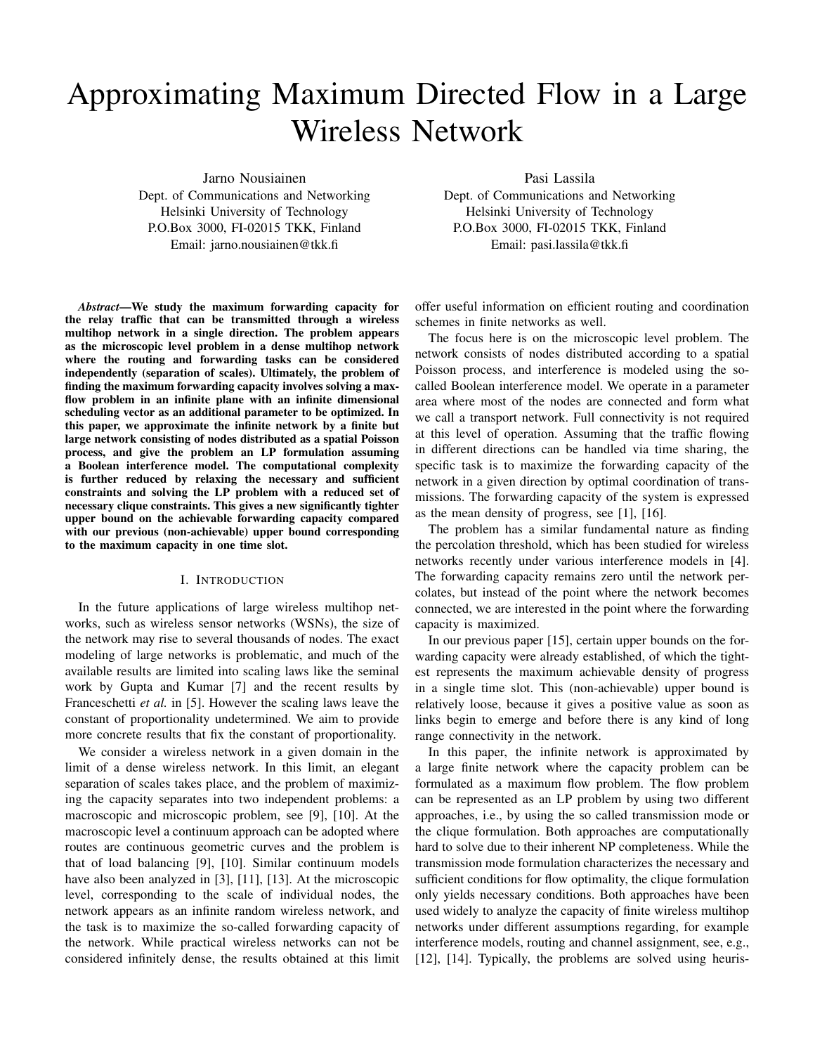# Approximating Maximum Directed Flow in a Large Wireless Network

Jarno Nousiainen

Dept. of Communications and Networking Helsinki University of Technology P.O.Box 3000, FI-02015 TKK, Finland Email: jarno.nousiainen@tkk.fi

*Abstract***—We study the maximum forwarding capacity for the relay traffic that can be transmitted through a wireless multihop network in a single direction. The problem appears as the microscopic level problem in a dense multihop network where the routing and forwarding tasks can be considered independently (separation of scales). Ultimately, the problem of finding the maximum forwarding capacity involves solving a maxflow problem in an infinite plane with an infinite dimensional scheduling vector as an additional parameter to be optimized. In this paper, we approximate the infinite network by a finite but large network consisting of nodes distributed as a spatial Poisson process, and give the problem an LP formulation assuming a Boolean interference model. The computational complexity is further reduced by relaxing the necessary and sufficient constraints and solving the LP problem with a reduced set of necessary clique constraints. This gives a new significantly tighter upper bound on the achievable forwarding capacity compared with our previous (non-achievable) upper bound corresponding to the maximum capacity in one time slot.**

# I. INTRODUCTION

In the future applications of large wireless multihop networks, such as wireless sensor networks (WSNs), the size of the network may rise to several thousands of nodes. The exact modeling of large networks is problematic, and much of the available results are limited into scaling laws like the seminal work by Gupta and Kumar [7] and the recent results by Franceschetti *et al.* in [5]. However the scaling laws leave the constant of proportionality undetermined. We aim to provide more concrete results that fix the constant of proportionality.

We consider a wireless network in a given domain in the limit of a dense wireless network. In this limit, an elegant separation of scales takes place, and the problem of maximizing the capacity separates into two independent problems: a macroscopic and microscopic problem, see [9], [10]. At the macroscopic level a continuum approach can be adopted where routes are continuous geometric curves and the problem is that of load balancing [9], [10]. Similar continuum models have also been analyzed in [3], [11], [13]. At the microscopic level, corresponding to the scale of individual nodes, the network appears as an infinite random wireless network, and the task is to maximize the so-called forwarding capacity of the network. While practical wireless networks can not be considered infinitely dense, the results obtained at this limit Pasi Lassila

Dept. of Communications and Networking Helsinki University of Technology P.O.Box 3000, FI-02015 TKK, Finland Email: pasi.lassila@tkk.fi

offer useful information on efficient routing and coordination schemes in finite networks as well.

The focus here is on the microscopic level problem. The network consists of nodes distributed according to a spatial Poisson process, and interference is modeled using the socalled Boolean interference model. We operate in a parameter area where most of the nodes are connected and form what we call a transport network. Full connectivity is not required at this level of operation. Assuming that the traffic flowing in different directions can be handled via time sharing, the specific task is to maximize the forwarding capacity of the network in a given direction by optimal coordination of transmissions. The forwarding capacity of the system is expressed as the mean density of progress, see [1], [16].

The problem has a similar fundamental nature as finding the percolation threshold, which has been studied for wireless networks recently under various interference models in [4]. The forwarding capacity remains zero until the network percolates, but instead of the point where the network becomes connected, we are interested in the point where the forwarding capacity is maximized.

In our previous paper [15], certain upper bounds on the forwarding capacity were already established, of which the tightest represents the maximum achievable density of progress in a single time slot. This (non-achievable) upper bound is relatively loose, because it gives a positive value as soon as links begin to emerge and before there is any kind of long range connectivity in the network.

In this paper, the infinite network is approximated by a large finite network where the capacity problem can be formulated as a maximum flow problem. The flow problem can be represented as an LP problem by using two different approaches, i.e., by using the so called transmission mode or the clique formulation. Both approaches are computationally hard to solve due to their inherent NP completeness. While the transmission mode formulation characterizes the necessary and sufficient conditions for flow optimality, the clique formulation only yields necessary conditions. Both approaches have been used widely to analyze the capacity of finite wireless multihop networks under different assumptions regarding, for example interference models, routing and channel assignment, see, e.g., [12], [14]. Typically, the problems are solved using heuris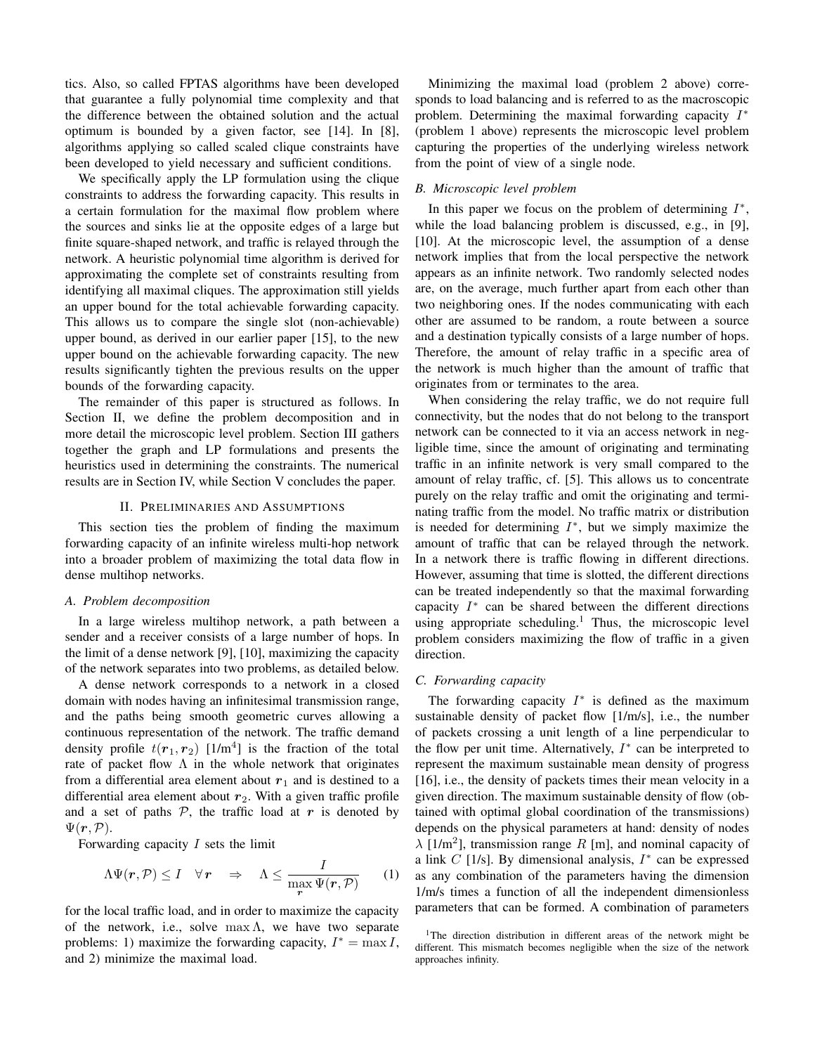tics. Also, so called FPTAS algorithms have been developed that guarantee a fully polynomial time complexity and that the difference between the obtained solution and the actual optimum is bounded by a given factor, see [14]. In [8], algorithms applying so called scaled clique constraints have been developed to yield necessary and sufficient conditions.

We specifically apply the LP formulation using the clique constraints to address the forwarding capacity. This results in a certain formulation for the maximal flow problem where the sources and sinks lie at the opposite edges of a large but finite square-shaped network, and traffic is relayed through the network. A heuristic polynomial time algorithm is derived for approximating the complete set of constraints resulting from identifying all maximal cliques. The approximation still yields an upper bound for the total achievable forwarding capacity. This allows us to compare the single slot (non-achievable) upper bound, as derived in our earlier paper [15], to the new upper bound on the achievable forwarding capacity. The new results significantly tighten the previous results on the upper bounds of the forwarding capacity.

The remainder of this paper is structured as follows. In Section II, we define the problem decomposition and in more detail the microscopic level problem. Section III gathers together the graph and LP formulations and presents the heuristics used in determining the constraints. The numerical results are in Section IV, while Section V concludes the paper.

# II. PRELIMINARIES AND ASSUMPTIONS

This section ties the problem of finding the maximum forwarding capacity of an infinite wireless multi-hop network into a broader problem of maximizing the total data flow in dense multihop networks.

# *A. Problem decomposition*

In a large wireless multihop network, a path between a sender and a receiver consists of a large number of hops. In the limit of a dense network [9], [10], maximizing the capacity of the network separates into two problems, as detailed below.

A dense network corresponds to a network in a closed domain with nodes having an infinitesimal transmission range, and the paths being smooth geometric curves allowing a continuous representation of the network. The traffic demand density profile  $t(\mathbf{r}_1, \mathbf{r}_2)$  [1/m<sup>4</sup>] is the fraction of the total rate of packet flow  $\Lambda$  in the whole network that originates from a differential area element about  $r_1$  and is destined to a differential area element about  $r_2$ . With a given traffic profile and a set of paths  $P$ , the traffic load at  $r$  is denoted by  $\Psi(\mathbf{r},\mathcal{P})$ .

Forwarding capacity  $I$  sets the limit

$$
\Lambda \Psi(\mathbf{r}, \mathcal{P}) \leq I \quad \forall \, \mathbf{r} \quad \Rightarrow \quad \Lambda \leq \frac{I}{\max_{\mathbf{r}} \Psi(\mathbf{r}, \mathcal{P})} \qquad (1)
$$

for the local traffic load, and in order to maximize the capacity of the network, i.e., solve  $\max \Lambda$ , we have two separate problems: 1) maximize the forwarding capacity,  $I^* = \max I$ , and 2) minimize the maximal load.

Minimizing the maximal load (problem 2 above) corresponds to load balancing and is referred to as the macroscopic problem. Determining the maximal forwarding capacity  $I^*$ (problem 1 above) represents the microscopic level problem capturing the properties of the underlying wireless network from the point of view of a single node.

# *B. Microscopic level problem*

In this paper we focus on the problem of determining  $I^*$ , while the load balancing problem is discussed, e.g., in [9], [10]. At the microscopic level, the assumption of a dense network implies that from the local perspective the network appears as an infinite network. Two randomly selected nodes are, on the average, much further apart from each other than two neighboring ones. If the nodes communicating with each other are assumed to be random, a route between a source and a destination typically consists of a large number of hops. Therefore, the amount of relay traffic in a specific area of the network is much higher than the amount of traffic that originates from or terminates to the area.

When considering the relay traffic, we do not require full connectivity, but the nodes that do not belong to the transport network can be connected to it via an access network in negligible time, since the amount of originating and terminating traffic in an infinite network is very small compared to the amount of relay traffic, cf. [5]. This allows us to concentrate purely on the relay traffic and omit the originating and terminating traffic from the model. No traffic matrix or distribution is needed for determining  $I^*$ , but we simply maximize the amount of traffic that can be relayed through the network. In a network there is traffic flowing in different directions. However, assuming that time is slotted, the different directions can be treated independently so that the maximal forwarding capacity  $I^*$  can be shared between the different directions using appropriate scheduling.<sup>1</sup> Thus, the microscopic level problem considers maximizing the flow of traffic in a given direction.

#### *C. Forwarding capacity*

The forwarding capacity  $I^*$  is defined as the maximum sustainable density of packet flow [1/m/s], i.e., the number of packets crossing a unit length of a line perpendicular to the flow per unit time. Alternatively,  $I^*$  can be interpreted to represent the maximum sustainable mean density of progress [16], i.e., the density of packets times their mean velocity in a given direction. The maximum sustainable density of flow (obtained with optimal global coordination of the transmissions) depends on the physical parameters at hand: density of nodes  $\lambda$  [1/m<sup>2</sup>], transmission range R [m], and nominal capacity of a link C [1/s]. By dimensional analysis,  $I^*$  can be expressed as any combination of the parameters having the dimension 1/m/s times a function of all the independent dimensionless parameters that can be formed. A combination of parameters

<sup>&</sup>lt;sup>1</sup>The direction distribution in different areas of the network might be different. This mismatch becomes negligible when the size of the network approaches infinity.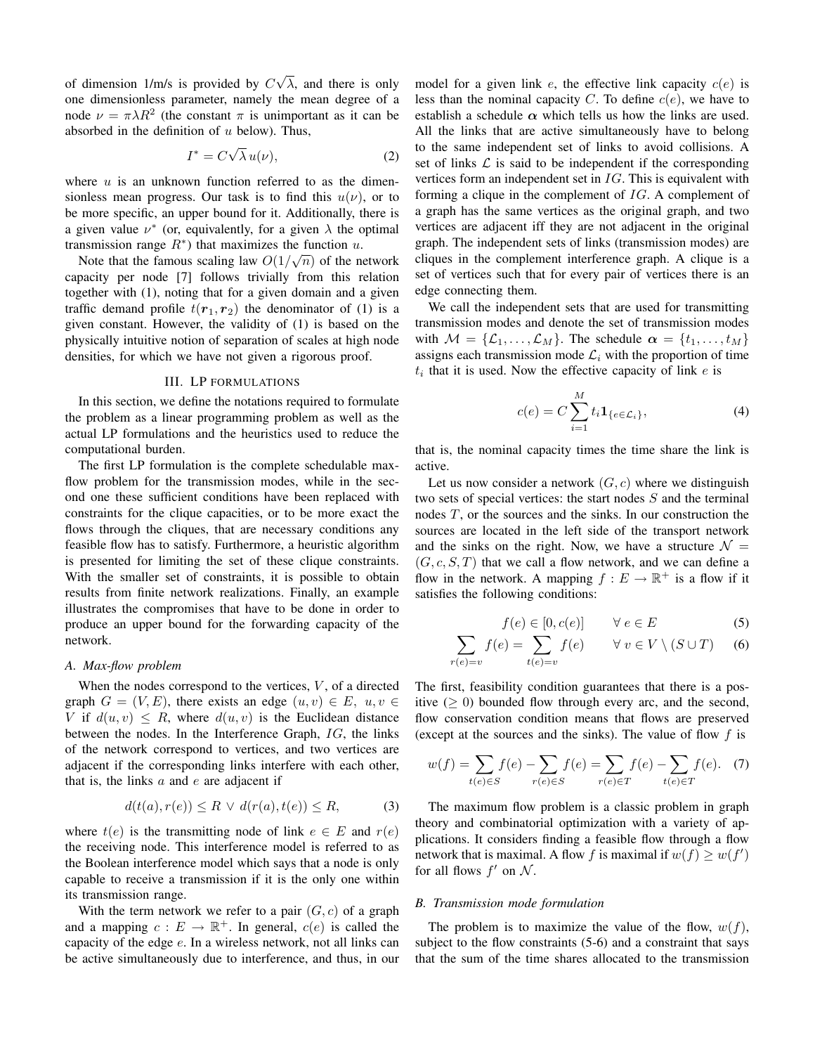of dimension 1/m/s is provided by  $C\sqrt{\lambda}$ , and there is only one dimensionless parameter, namely the mean degree of a node  $\nu = \pi \lambda R^2$  (the constant  $\pi$  is unimportant as it can be absorbed in the definition of  $u$  below). Thus,

$$
I^* = C\sqrt{\lambda} u(\nu), \tag{2}
$$

where  $u$  is an unknown function referred to as the dimensionless mean progress. Our task is to find this  $u(\nu)$ , or to be more specific, an upper bound for it. Additionally, there is a given value  $\nu^*$  (or, equivalently, for a given  $\lambda$  the optimal transmission range  $R^*$ ) that maximizes the function u.

Note that the famous scaling law  $O(1/\sqrt{n})$  of the network capacity per node [7] follows trivially from this relation together with (1), noting that for a given domain and a given traffic demand profile  $t(\mathbf{r}_1, \mathbf{r}_2)$  the denominator of (1) is a given constant. However, the validity of (1) is based on the physically intuitive notion of separation of scales at high node densities, for which we have not given a rigorous proof.

#### III. LP FORMULATIONS

In this section, we define the notations required to formulate the problem as a linear programming problem as well as the actual LP formulations and the heuristics used to reduce the computational burden.

The first LP formulation is the complete schedulable maxflow problem for the transmission modes, while in the second one these sufficient conditions have been replaced with constraints for the clique capacities, or to be more exact the flows through the cliques, that are necessary conditions any feasible flow has to satisfy. Furthermore, a heuristic algorithm is presented for limiting the set of these clique constraints. With the smaller set of constraints, it is possible to obtain results from finite network realizations. Finally, an example illustrates the compromises that have to be done in order to produce an upper bound for the forwarding capacity of the network.

# *A. Max-flow problem*

When the nodes correspond to the vertices,  $V$ , of a directed graph  $G = (V, E)$ , there exists an edge  $(u, v) \in E$ ,  $u, v \in E$ V if  $d(u, v) \leq R$ , where  $d(u, v)$  is the Euclidean distance between the nodes. In the Interference Graph, IG, the links of the network correspond to vertices, and two vertices are adjacent if the corresponding links interfere with each other, that is, the links  $a$  and  $e$  are adjacent if

$$
d(t(a), r(e)) \le R \vee d(r(a), t(e)) \le R,\tag{3}
$$

where  $t(e)$  is the transmitting node of link  $e \in E$  and  $r(e)$ the receiving node. This interference model is referred to as the Boolean interference model which says that a node is only capable to receive a transmission if it is the only one within its transmission range.

With the term network we refer to a pair  $(G, c)$  of a graph and a mapping  $c : E \to \mathbb{R}^+$ . In general,  $c(e)$  is called the capacity of the edge e. In a wireless network, not all links can be active simultaneously due to interference, and thus, in our model for a given link  $e$ , the effective link capacity  $c(e)$  is less than the nominal capacity C. To define  $c(e)$ , we have to establish a schedule  $\alpha$  which tells us how the links are used. All the links that are active simultaneously have to belong to the same independent set of links to avoid collisions. A set of links  $\mathcal L$  is said to be independent if the corresponding vertices form an independent set in IG. This is equivalent with forming a clique in the complement of IG. A complement of a graph has the same vertices as the original graph, and two vertices are adjacent iff they are not adjacent in the original graph. The independent sets of links (transmission modes) are cliques in the complement interference graph. A clique is a set of vertices such that for every pair of vertices there is an edge connecting them.

We call the independent sets that are used for transmitting transmission modes and denote the set of transmission modes with  $M = \{\mathcal{L}_1, \ldots, \mathcal{L}_M\}$ . The schedule  $\alpha = \{t_1, \ldots, t_M\}$ assigns each transmission mode  $\mathcal{L}_i$  with the proportion of time  $t_i$  that it is used. Now the effective capacity of link  $e$  is

$$
c(e) = C \sum_{i=1}^{M} t_i \mathbf{1}_{\{e \in \mathcal{L}_i\}},
$$
\n(4)

that is, the nominal capacity times the time share the link is active.

Let us now consider a network  $(G, c)$  where we distinguish two sets of special vertices: the start nodes  $S$  and the terminal nodes T, or the sources and the sinks. In our construction the sources are located in the left side of the transport network and the sinks on the right. Now, we have a structure  $\mathcal{N} =$  $(G, c, S, T)$  that we call a flow network, and we can define a flow in the network. A mapping  $f : E \to \mathbb{R}^+$  is a flow if it satisfies the following conditions:

$$
f(e) \in [0, c(e)] \qquad \forall e \in E \tag{5}
$$

$$
\sum_{r(e)=v} f(e) = \sum_{t(e)=v} f(e) \qquad \forall \ v \in V \setminus (S \cup T) \tag{6}
$$

The first, feasibility condition guarantees that there is a positive  $(0, 0)$  bounded flow through every arc, and the second, flow conservation condition means that flows are preserved (except at the sources and the sinks). The value of flow  $f$  is

$$
w(f) = \sum_{t(e) \in S} f(e) - \sum_{r(e) \in S} f(e) = \sum_{r(e) \in T} f(e) - \sum_{t(e) \in T} f(e). \tag{7}
$$

The maximum flow problem is a classic problem in graph theory and combinatorial optimization with a variety of applications. It considers finding a feasible flow through a flow network that is maximal. A flow f is maximal if  $w(f) \geq w(f')$ for all flows  $f'$  on  $\mathcal N$ .

## *B. Transmission mode formulation*

The problem is to maximize the value of the flow,  $w(f)$ , subject to the flow constraints (5-6) and a constraint that says that the sum of the time shares allocated to the transmission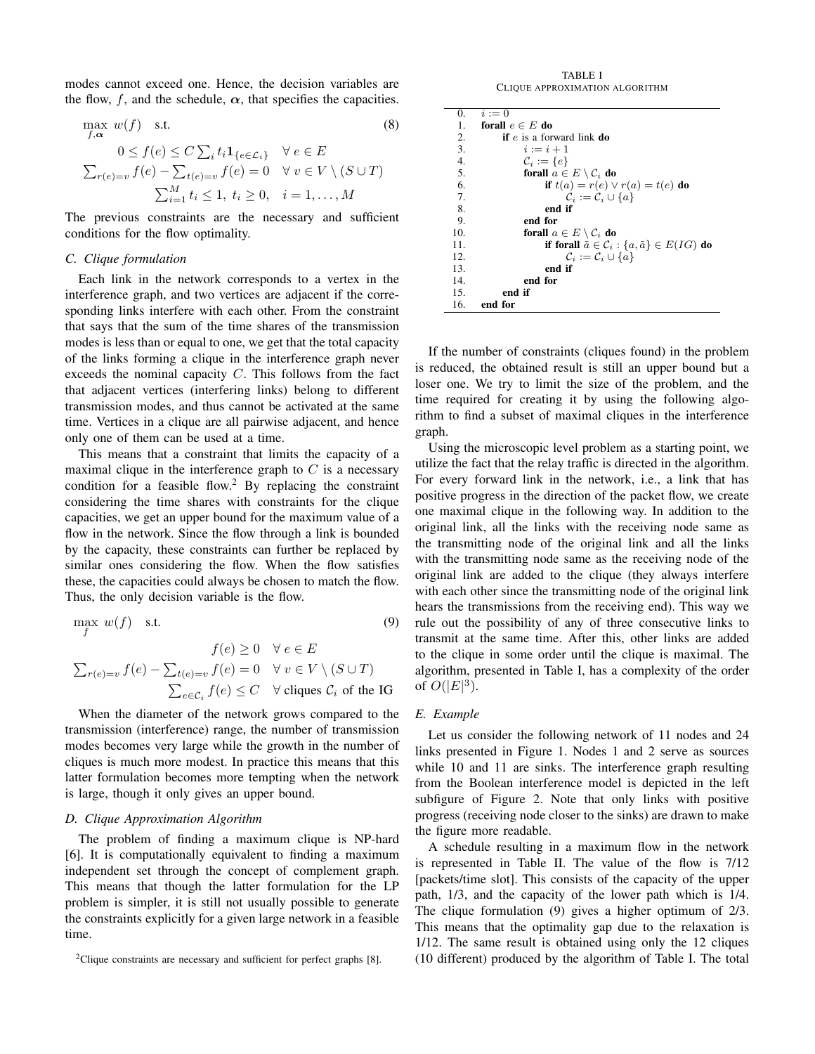modes cannot exceed one. Hence, the decision variables are the flow, f, and the schedule,  $\alpha$ , that specifies the capacities.

$$
\max_{f,\alpha} w(f) \quad \text{s.t.} \tag{8}
$$
\n
$$
0 \le f(e) \le C \sum_{i} t_i \mathbf{1}_{\{e \in \mathcal{L}_i\}} \quad \forall e \in E
$$
\n
$$
\sum_{r(e)=v} f(e) - \sum_{t(e)=v} f(e) = 0 \quad \forall v \in V \setminus (S \cup T)
$$
\n
$$
\sum_{i=1}^{M} t_i \le 1, \ t_i \ge 0, \quad i = 1, ..., M
$$

The previous constraints are the necessary and sufficient conditions for the flow optimality.

#### *C. Clique formulation*

Each link in the network corresponds to a vertex in the interference graph, and two vertices are adjacent if the corresponding links interfere with each other. From the constraint that says that the sum of the time shares of the transmission modes is less than or equal to one, we get that the total capacity of the links forming a clique in the interference graph never exceeds the nominal capacity  $C$ . This follows from the fact that adjacent vertices (interfering links) belong to different transmission modes, and thus cannot be activated at the same time. Vertices in a clique are all pairwise adjacent, and hence only one of them can be used at a time.

This means that a constraint that limits the capacity of a maximal clique in the interference graph to  $C$  is a necessary condition for a feasible flow.<sup>2</sup> By replacing the constraint considering the time shares with constraints for the clique capacities, we get an upper bound for the maximum value of a flow in the network. Since the flow through a link is bounded by the capacity, these constraints can further be replaced by similar ones considering the flow. When the flow satisfies these, the capacities could always be chosen to match the flow. Thus, the only decision variable is the flow.

$$
\max_{f} w(f) \quad \text{s.t.} \tag{9}
$$

$$
f(e) \ge 0 \quad \forall e \in E
$$
  

$$
\sum_{r(e)=v} f(e) - \sum_{t(e)=v} f(e) = 0 \quad \forall v \in V \setminus (S \cup T)
$$
  

$$
\sum_{e \in C_i} f(e) \le C \quad \forall \text{ cliques } C_i \text{ of the IG}
$$

When the diameter of the network grows compared to the transmission (interference) range, the number of transmission modes becomes very large while the growth in the number of cliques is much more modest. In practice this means that this latter formulation becomes more tempting when the network is large, though it only gives an upper bound.

# *D. Clique Approximation Algorithm*

The problem of finding a maximum clique is NP-hard [6]. It is computationally equivalent to finding a maximum independent set through the concept of complement graph. This means that though the latter formulation for the LP problem is simpler, it is still not usually possible to generate the constraints explicitly for a given large network in a feasible time.

TABLE I CLIQUE APPROXIMATION ALGORITHM

| 0.  | $i := 0$                                                                 |
|-----|--------------------------------------------------------------------------|
| 1.  | forall $e \in E$ do                                                      |
| 2.  | <b>if</b> e is a forward link <b>do</b>                                  |
| 3.  | $i:=i+1$                                                                 |
| 4.  | $\mathcal{C}_i := \{e\}$                                                 |
| 5.  | forall $a \in E \setminus C_i$ do                                        |
| 6.  | if $t(a) = r(e) \vee r(a) = t(e)$ do                                     |
| 7.  | $\mathcal{C}_i := \mathcal{C}_i \cup \{a\}$                              |
| 8.  | end if                                                                   |
| 9.  | end for                                                                  |
| 10. | forall $a \in E \setminus C_i$ do                                        |
| 11. | if forall $\tilde{a} \in \mathcal{C}_i$ : $\{a, \tilde{a}\}\in E(IG)$ do |
| 12. | $\mathcal{C}_i := \mathcal{C}_i \cup \{a\}$                              |
| 13. | end if                                                                   |
| 14. | end for                                                                  |
| 15. | end if                                                                   |
| 16. | end for                                                                  |

If the number of constraints (cliques found) in the problem is reduced, the obtained result is still an upper bound but a loser one. We try to limit the size of the problem, and the time required for creating it by using the following algorithm to find a subset of maximal cliques in the interference graph.

Using the microscopic level problem as a starting point, we utilize the fact that the relay traffic is directed in the algorithm. For every forward link in the network, i.e., a link that has positive progress in the direction of the packet flow, we create one maximal clique in the following way. In addition to the original link, all the links with the receiving node same as the transmitting node of the original link and all the links with the transmitting node same as the receiving node of the original link are added to the clique (they always interfere with each other since the transmitting node of the original link hears the transmissions from the receiving end). This way we rule out the possibility of any of three consecutive links to transmit at the same time. After this, other links are added to the clique in some order until the clique is maximal. The algorithm, presented in Table I, has a complexity of the order of  $O(|E|^3)$ .

#### *E. Example*

Let us consider the following network of 11 nodes and 24 links presented in Figure 1. Nodes 1 and 2 serve as sources while 10 and 11 are sinks. The interference graph resulting from the Boolean interference model is depicted in the left subfigure of Figure 2. Note that only links with positive progress (receiving node closer to the sinks) are drawn to make the figure more readable.

A schedule resulting in a maximum flow in the network is represented in Table II. The value of the flow is 7/12 [packets/time slot]. This consists of the capacity of the upper path, 1/3, and the capacity of the lower path which is 1/4. The clique formulation (9) gives a higher optimum of 2/3. This means that the optimality gap due to the relaxation is 1/12. The same result is obtained using only the 12 cliques (10 different) produced by the algorithm of Table I. The total

<sup>&</sup>lt;sup>2</sup>Clique constraints are necessary and sufficient for perfect graphs [8].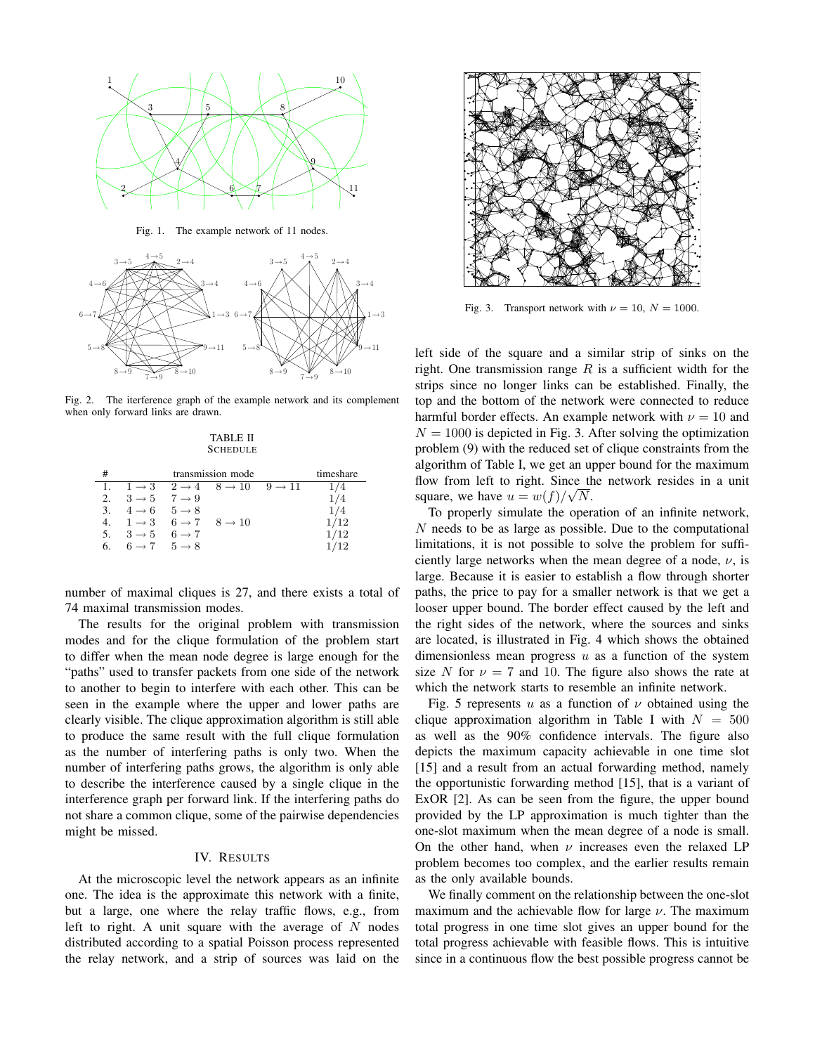

Fig. 1. The example network of 11 nodes.



Fig. 2. The iterference graph of the example network and its complement when only forward links are drawn.

TABLE II **SCHEDULE** 

| #  |                                        | timeshare                                                 |                                                                           |  |      |
|----|----------------------------------------|-----------------------------------------------------------|---------------------------------------------------------------------------|--|------|
|    |                                        |                                                           | $1 \rightarrow 3$ $2 \rightarrow 4$ $8 \rightarrow 10$ $9 \rightarrow 11$ |  |      |
|    | 2. $3 \rightarrow 5$ $7 \rightarrow 9$ |                                                           |                                                                           |  | 1/4  |
| 3. | $4 \rightarrow 6$ $5 \rightarrow 8$    |                                                           |                                                                           |  | 1/4  |
|    |                                        | 4. $1 \rightarrow 3$ 6 $\rightarrow 7$ 8 $\rightarrow 10$ |                                                                           |  | 1/12 |
| 5. | $3 \rightarrow 5$ 6 $\rightarrow 7$    |                                                           |                                                                           |  | 1/12 |
| 6. | $6 \rightarrow 7$ $5 \rightarrow 8$    |                                                           |                                                                           |  | 1/12 |

number of maximal cliques is 27, and there exists a total of 74 maximal transmission modes.

The results for the original problem with transmission modes and for the clique formulation of the problem start to differ when the mean node degree is large enough for the "paths" used to transfer packets from one side of the network to another to begin to interfere with each other. This can be seen in the example where the upper and lower paths are clearly visible. The clique approximation algorithm is still able to produce the same result with the full clique formulation as the number of interfering paths is only two. When the number of interfering paths grows, the algorithm is only able to describe the interference caused by a single clique in the interference graph per forward link. If the interfering paths do not share a common clique, some of the pairwise dependencies might be missed.

## IV. RESULTS

At the microscopic level the network appears as an infinite one. The idea is the approximate this network with a finite, but a large, one where the relay traffic flows, e.g., from left to right. A unit square with the average of  $N$  nodes distributed according to a spatial Poisson process represented the relay network, and a strip of sources was laid on the



Fig. 3. Transport network with  $\nu = 10$ ,  $N = 1000$ .

left side of the square and a similar strip of sinks on the right. One transmission range  $R$  is a sufficient width for the strips since no longer links can be established. Finally, the top and the bottom of the network were connected to reduce harmful border effects. An example network with  $\nu = 10$  and  $N = 1000$  is depicted in Fig. 3. After solving the optimization problem (9) with the reduced set of clique constraints from the algorithm of Table I, we get an upper bound for the maximum flow from left to right. Since the network resides in a unit square, we have  $u = w(f)/\sqrt{N}$ .

To properly simulate the operation of an infinite network,  $N$  needs to be as large as possible. Due to the computational limitations, it is not possible to solve the problem for sufficiently large networks when the mean degree of a node,  $\nu$ , is large. Because it is easier to establish a flow through shorter paths, the price to pay for a smaller network is that we get a looser upper bound. The border effect caused by the left and the right sides of the network, where the sources and sinks are located, is illustrated in Fig. 4 which shows the obtained dimensionless mean progress  $u$  as a function of the system size N for  $\nu = 7$  and 10. The figure also shows the rate at which the network starts to resemble an infinite network.

Fig. 5 represents u as a function of  $\nu$  obtained using the clique approximation algorithm in Table I with  $N = 500$ as well as the 90% confidence intervals. The figure also depicts the maximum capacity achievable in one time slot [15] and a result from an actual forwarding method, namely the opportunistic forwarding method [15], that is a variant of ExOR [2]. As can be seen from the figure, the upper bound provided by the LP approximation is much tighter than the one-slot maximum when the mean degree of a node is small. On the other hand, when  $\nu$  increases even the relaxed LP problem becomes too complex, and the earlier results remain as the only available bounds.

We finally comment on the relationship between the one-slot maximum and the achievable flow for large  $\nu$ . The maximum total progress in one time slot gives an upper bound for the total progress achievable with feasible flows. This is intuitive since in a continuous flow the best possible progress cannot be